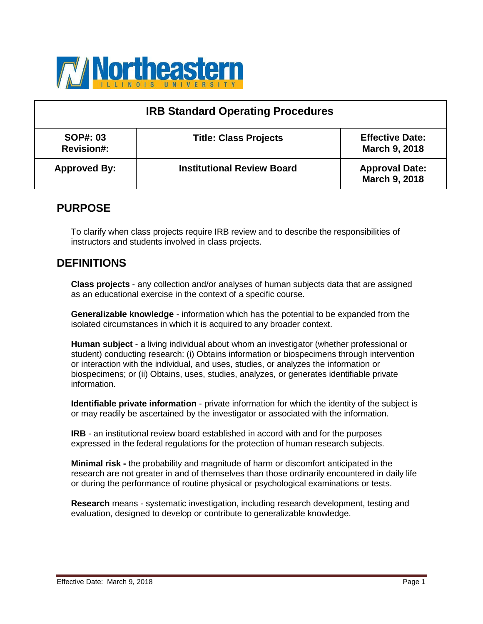

| <b>IRB Standard Operating Procedures</b> |                                   |                                                |  |
|------------------------------------------|-----------------------------------|------------------------------------------------|--|
| <b>SOP#: 03</b><br><b>Revision#:</b>     | <b>Title: Class Projects</b>      | <b>Effective Date:</b><br><b>March 9, 2018</b> |  |
| <b>Approved By:</b>                      | <b>Institutional Review Board</b> | <b>Approval Date:</b><br><b>March 9, 2018</b>  |  |

### **PURPOSE**

To clarify when class projects require IRB review and to describe the responsibilities of instructors and students involved in class projects.

### **DEFINITIONS**

**Class projects** - any collection and/or analyses of human subjects data that are assigned as an educational exercise in the context of a specific course.

**Generalizable knowledge** - information which has the potential to be expanded from the isolated circumstances in which it is acquired to any broader context.

**Human subject** - a living individual about whom an investigator (whether professional or student) conducting research: (i) Obtains information or biospecimens through intervention or interaction with the individual, and uses, studies, or analyzes the information or biospecimens; or (ii) Obtains, uses, studies, analyzes, or generates identifiable private information.

**Identifiable private information** - private information for which the identity of the subject is or may readily be ascertained by the investigator or associated with the information.

**IRB** - an institutional review board established in accord with and for the purposes expressed in the federal regulations for the protection of human research subjects.

**Minimal risk -** the probability and magnitude of harm or discomfort anticipated in the research are not greater in and of themselves than those ordinarily encountered in daily life or during the performance of routine physical or psychological examinations or tests.

**Research** means - systematic investigation, including research development, testing and evaluation, designed to develop or contribute to generalizable knowledge.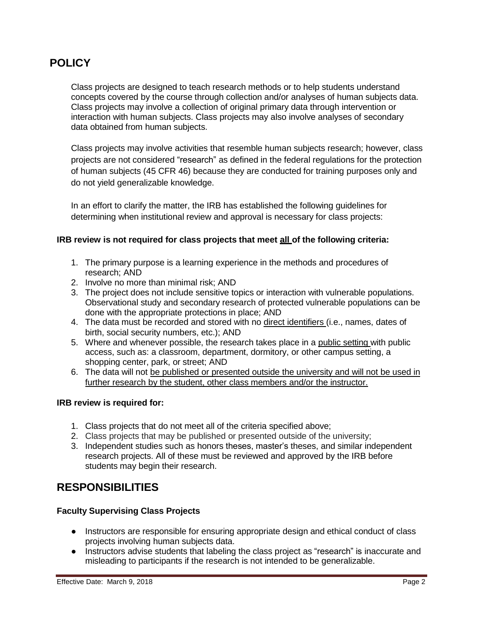## **POLICY**

Class projects are designed to teach research methods or to help students understand concepts covered by the course through collection and/or analyses of human subjects data. Class projects may involve a collection of original primary data through intervention or interaction with human subjects. Class projects may also involve analyses of secondary data obtained from human subjects.

Class projects may involve activities that resemble human subjects research; however, class projects are not considered "research" as defined in the federal regulations for the protection of human subjects (45 CFR 46) because they are conducted for training purposes only and do not yield generalizable knowledge.

In an effort to clarify the matter, the IRB has established the following guidelines for determining when institutional review and approval is necessary for class projects:

#### **IRB review is not required for class projects that meet all of the following criteria:**

- 1. The primary purpose is a learning experience in the methods and procedures of research; AND
- 2. Involve no more than minimal risk; AND
- 3. The project does not include sensitive topics or interaction with vulnerable populations. Observational study and secondary research of protected vulnerable populations can be done with the appropriate protections in place; AND
- 4. The data must be recorded and stored with no direct identifiers (i.e., names, dates of birth, social security numbers, etc.); AND
- 5. Where and whenever possible, the research takes place in a public setting with public access, such as: a classroom, department, dormitory, or other campus setting, a shopping center, park, or street; AND
- 6. The data will not be published or presented outside the university and will not be used in further research by the student, other class members and/or the instructor.

#### **IRB review is required for:**

- 1. Class projects that do not meet all of the criteria specified above;
- 2. Class projects that may be published or presented outside of the university;
- 3. Independent studies such as honors theses, master's theses, and similar independent research projects. All of these must be reviewed and approved by the IRB before students may begin their research.

# **RESPONSIBILITIES**

#### **Faculty Supervising Class Projects**

- Instructors are responsible for ensuring appropriate design and ethical conduct of class projects involving human subjects data.
- Instructors advise students that labeling the class project as "research" is inaccurate and misleading to participants if the research is not intended to be generalizable.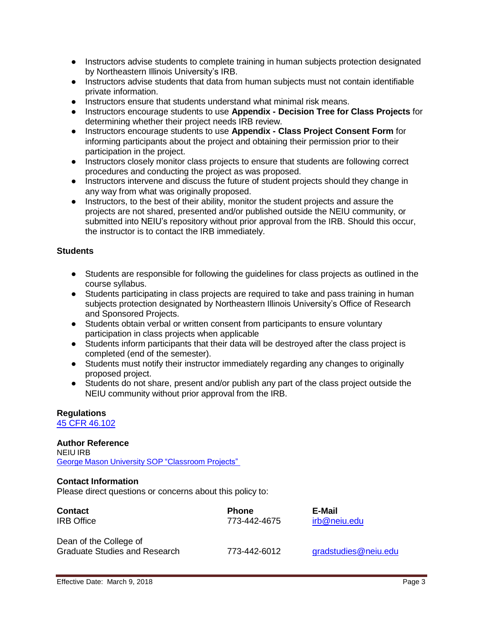- Instructors advise students to complete training in human subjects protection designated by Northeastern Illinois University's IRB.
- Instructors advise students that data from human subjects must not contain identifiable private information.
- Instructors ensure that students understand what minimal risk means.
- Instructors encourage students to use **Appendix - Decision Tree for Class Projects** for determining whether their project needs IRB review.
- Instructors encourage students to use **Appendix - Class Project Consent Form** for informing participants about the project and obtaining their permission prior to their participation in the project.
- Instructors closely monitor class projects to ensure that students are following correct procedures and conducting the project as was proposed.
- Instructors intervene and discuss the future of student projects should they change in any way from what was originally proposed.
- Instructors, to the best of their ability, monitor the student projects and assure the projects are not shared, presented and/or published outside the NEIU community, or submitted into NEIU's repository without prior approval from the IRB. Should this occur, the instructor is to contact the IRB immediately.

#### **Students**

- Students are responsible for following the guidelines for class projects as outlined in the course syllabus.
- Students participating in class projects are required to take and pass training in human subjects protection designated by Northeastern Illinois University's Office of Research and Sponsored Projects.
- Students obtain verbal or written consent from participants to ensure voluntary participation in class projects when applicable
- Students inform participants that their data will be destroyed after the class project is completed (end of the semester).
- Students must notify their instructor immediately regarding any changes to originally proposed project.
- Students do not share, present and/or publish any part of the class project outside the NEIU community without prior approval from the IRB.

### **Regulations**

[45 CFR 46.102](https://www.ecfr.gov/cgi-bin/retrieveECFR?gp&SID=83cd09e1c0f5c6937cd9d7513160fc3f&pitd=20180719&n=pt45.1.46&r=PART&ty=HTML&se45.1.46_1102)

#### **Author Reference**

NEIU IRB George Mason University SOP ["Classroom](https://rdia.gmu.edu/wp-content/uploads/SOP_1.3.5_Classroom-projects_v2.pdf) Projects"

#### **Contact Information**

Please direct questions or concerns about this policy to:

| <b>Contact</b>                                                 | <b>Phone</b> | E-Mail               |
|----------------------------------------------------------------|--------------|----------------------|
| <b>IRB</b> Office                                              | 773-442-4675 | irb@neiu.edu         |
| Dean of the College of<br><b>Graduate Studies and Research</b> | 773-442-6012 | gradstudies@neiu.edu |